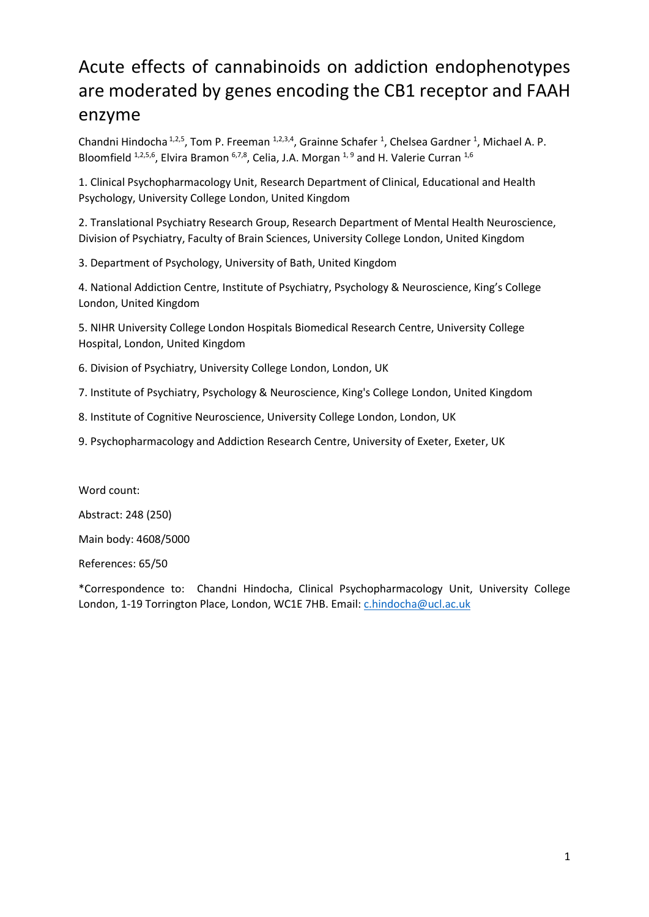# Acute effects of cannabinoids on addiction endophenotypes are moderated by genes encoding the CB1 receptor and FAAH enzyme

Chandni Hindocha<sup>1,2,5</sup>, Tom P. Freeman <sup>1,2,3,4</sup>, Grainne Schafer <sup>1</sup>, Chelsea Gardner <sup>1</sup>, Michael A. P. Bloomfield <sup>1,2,5,6</sup>, Elvira Bramon <sup>6,7,8</sup>, Celia, J.A. Morgan <sup>1,9</sup> and H. Valerie Curran <sup>1,6</sup>

1. Clinical Psychopharmacology Unit, Research Department of Clinical, Educational and Health Psychology, University College London, United Kingdom

2. Translational Psychiatry Research Group, Research Department of Mental Health Neuroscience, Division of Psychiatry, Faculty of Brain Sciences, University College London, United Kingdom

3. Department of Psychology, University of Bath, United Kingdom

4. National Addiction Centre, Institute of Psychiatry, Psychology & Neuroscience, King's College London, United Kingdom

5. NIHR University College London Hospitals Biomedical Research Centre, University College Hospital, London, United Kingdom

6. Division of Psychiatry, University College London, London, UK

7. Institute of Psychiatry, Psychology & Neuroscience, King's College London, United Kingdom

8. Institute of Cognitive Neuroscience, University College London, London, UK

9. Psychopharmacology and Addiction Research Centre, University of Exeter, Exeter, UK

Word count: Abstract: 248 (250)

Main body: 4608/5000

References: 65/50

\*Correspondence to: Chandni Hindocha, Clinical Psychopharmacology Unit, University College London, 1-19 Torrington Place, London, WC1E 7HB. Email[: c.hindocha@ucl.ac.uk](mailto:c.hindocha@ucl.ac.uk)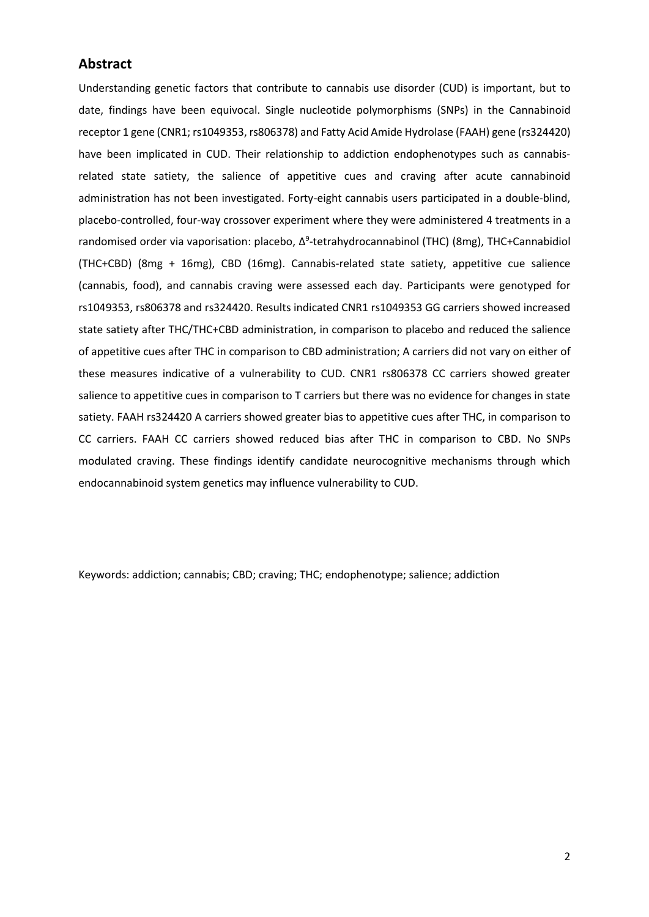# **Abstract**

Understanding genetic factors that contribute to cannabis use disorder (CUD) is important, but to date, findings have been equivocal. Single nucleotide polymorphisms (SNPs) in the Cannabinoid receptor 1 gene (CNR1; rs1049353, rs806378) and Fatty Acid Amide Hydrolase (FAAH) gene (rs324420) have been implicated in CUD. Their relationship to addiction endophenotypes such as cannabisrelated state satiety, the salience of appetitive cues and craving after acute cannabinoid administration has not been investigated. Forty-eight cannabis users participated in a double-blind, placebo-controlled, four-way crossover experiment where they were administered 4 treatments in a randomised order via vaporisation: placebo, Δ<sup>9</sup>-tetrahydrocannabinol (THC) (8mg), THC+Cannabidiol (THC+CBD) (8mg + 16mg), CBD (16mg). Cannabis-related state satiety, appetitive cue salience (cannabis, food), and cannabis craving were assessed each day. Participants were genotyped for rs1049353, rs806378 and rs324420. Results indicated CNR1 rs1049353 GG carriers showed increased state satiety after THC/THC+CBD administration, in comparison to placebo and reduced the salience of appetitive cues after THC in comparison to CBD administration; A carriers did not vary on either of these measures indicative of a vulnerability to CUD. CNR1 rs806378 CC carriers showed greater salience to appetitive cues in comparison to T carriers but there was no evidence for changes in state satiety. FAAH rs324420 A carriers showed greater bias to appetitive cues after THC, in comparison to CC carriers. FAAH CC carriers showed reduced bias after THC in comparison to CBD. No SNPs modulated craving. These findings identify candidate neurocognitive mechanisms through which endocannabinoid system genetics may influence vulnerability to CUD.

Keywords: addiction; cannabis; CBD; craving; THC; endophenotype; salience; addiction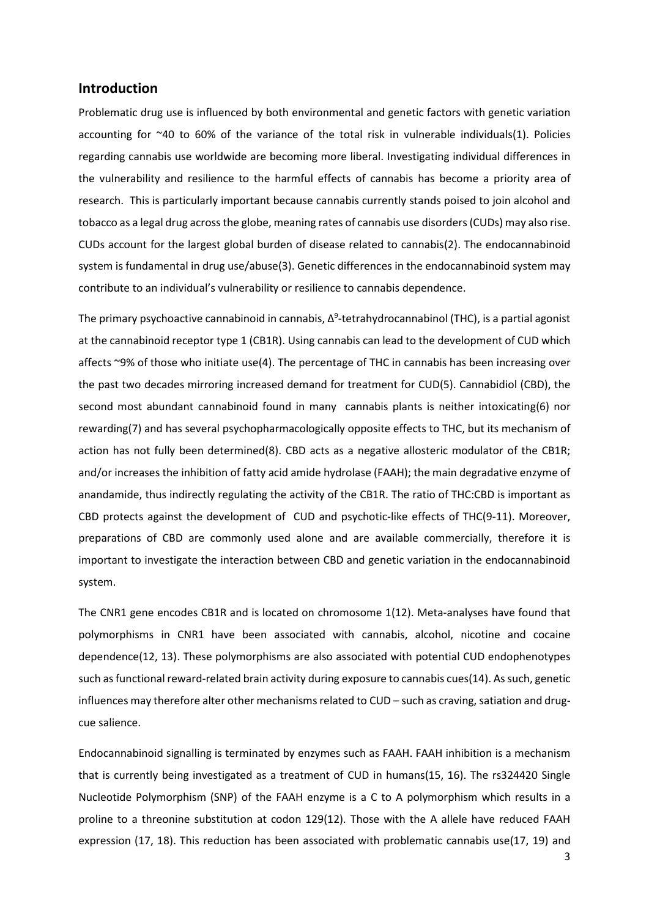## **Introduction**

Problematic drug use is influenced by both environmental and genetic factors with genetic variation accounting for ~40 to 60% of the variance of the total risk in vulnerable individuals(1). Policies regarding cannabis use worldwide are becoming more liberal. Investigating individual differences in the vulnerability and resilience to the harmful effects of cannabis has become a priority area of research. This is particularly important because cannabis currently stands poised to join alcohol and tobacco as a legal drug across the globe, meaning rates of cannabis use disorders (CUDs) may also rise. CUDs account for the largest global burden of disease related to cannabis(2). The endocannabinoid system is fundamental in drug use/abuse(3). Genetic differences in the endocannabinoid system may contribute to an individual's vulnerability or resilience to cannabis dependence.

The primary psychoactive cannabinoid in cannabis, Δ<sup>9</sup>-tetrahydrocannabinol (THC), is a partial agonist at the cannabinoid receptor type 1 (CB1R). Using cannabis can lead to the development of CUD which affects ~9% of those who initiate use(4). The percentage of THC in cannabis has been increasing over the past two decades mirroring increased demand for treatment for CUD(5). Cannabidiol (CBD), the second most abundant cannabinoid found in many cannabis plants is neither intoxicating(6) nor rewarding(7) and has several psychopharmacologically opposite effects to THC, but its mechanism of action has not fully been determined(8). CBD acts as a negative allosteric modulator of the CB1R; and/or increases the inhibition of fatty acid amide hydrolase (FAAH); the main degradative enzyme of anandamide, thus indirectly regulating the activity of the CB1R. The ratio of THC:CBD is important as CBD protects against the development of CUD and psychotic-like effects of THC(9-11). Moreover, preparations of CBD are commonly used alone and are available commercially, therefore it is important to investigate the interaction between CBD and genetic variation in the endocannabinoid system.

The CNR1 gene encodes CB1R and is located on chromosome 1(12). Meta-analyses have found that polymorphisms in CNR1 have been associated with cannabis, alcohol, nicotine and cocaine dependence(12, 13). These polymorphisms are also associated with potential CUD endophenotypes such as functional reward-related brain activity during exposure to cannabis cues(14). As such, genetic influences may therefore alter other mechanisms related to CUD – such as craving, satiation and drugcue salience.

Endocannabinoid signalling is terminated by enzymes such as FAAH. FAAH inhibition is a mechanism that is currently being investigated as a treatment of CUD in humans(15, 16). The rs324420 Single Nucleotide Polymorphism (SNP) of the FAAH enzyme is a C to A polymorphism which results in a proline to a threonine substitution at codon 129(12). Those with the A allele have reduced FAAH expression (17, 18). This reduction has been associated with problematic cannabis use(17, 19) and

3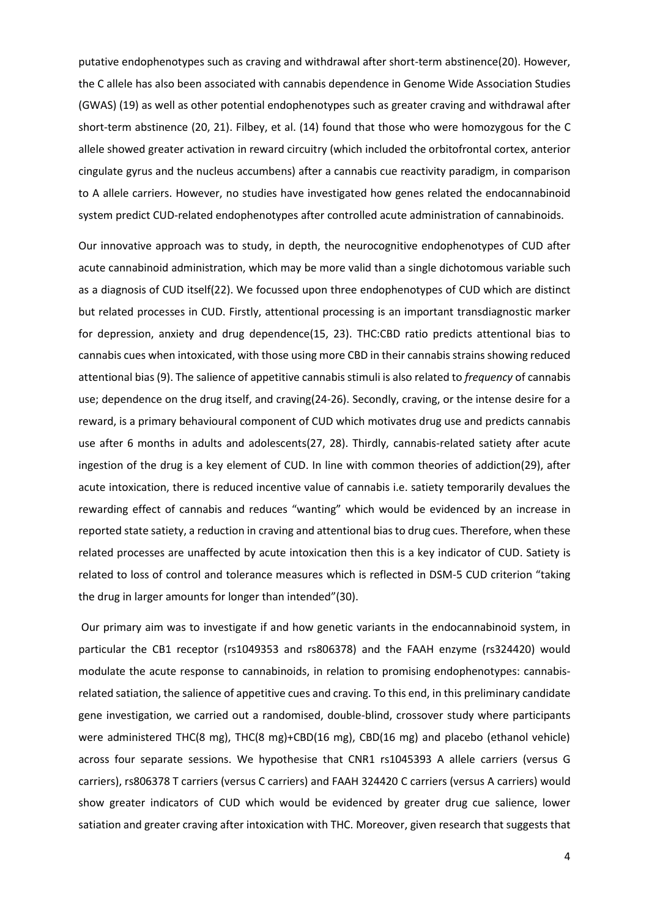putative endophenotypes such as craving and withdrawal after short-term abstinence(20). However, the C allele has also been associated with cannabis dependence in Genome Wide Association Studies (GWAS) (19) as well as other potential endophenotypes such as greater craving and withdrawal after short-term abstinence (20, 21). Filbey, et al. (14) found that those who were homozygous for the C allele showed greater activation in reward circuitry (which included the orbitofrontal cortex, anterior cingulate gyrus and the nucleus accumbens) after a cannabis cue reactivity paradigm, in comparison to A allele carriers. However, no studies have investigated how genes related the endocannabinoid system predict CUD-related endophenotypes after controlled acute administration of cannabinoids.

Our innovative approach was to study, in depth, the neurocognitive endophenotypes of CUD after acute cannabinoid administration, which may be more valid than a single dichotomous variable such as a diagnosis of CUD itself(22). We focussed upon three endophenotypes of CUD which are distinct but related processes in CUD. Firstly, attentional processing is an important transdiagnostic marker for depression, anxiety and drug dependence(15, 23). THC:CBD ratio predicts attentional bias to cannabis cues when intoxicated, with those using more CBD in their cannabis strains showing reduced attentional bias (9). The salience of appetitive cannabisstimuli is also related to *frequency* of cannabis use; dependence on the drug itself, and craving(24-26). Secondly, craving, or the intense desire for a reward, is a primary behavioural component of CUD which motivates drug use and predicts cannabis use after 6 months in adults and adolescents(27, 28). Thirdly, cannabis-related satiety after acute ingestion of the drug is a key element of CUD. In line with common theories of addiction(29), after acute intoxication, there is reduced incentive value of cannabis i.e. satiety temporarily devalues the rewarding effect of cannabis and reduces "wanting" which would be evidenced by an increase in reported state satiety, a reduction in craving and attentional bias to drug cues. Therefore, when these related processes are unaffected by acute intoxication then this is a key indicator of CUD. Satiety is related to loss of control and tolerance measures which is reflected in DSM-5 CUD criterion "taking the drug in larger amounts for longer than intended"(30).

Our primary aim was to investigate if and how genetic variants in the endocannabinoid system, in particular the CB1 receptor (rs1049353 and rs806378) and the FAAH enzyme (rs324420) would modulate the acute response to cannabinoids, in relation to promising endophenotypes: cannabisrelated satiation, the salience of appetitive cues and craving. To this end, in this preliminary candidate gene investigation, we carried out a randomised, double-blind, crossover study where participants were administered THC(8 mg), THC(8 mg)+CBD(16 mg), CBD(16 mg) and placebo (ethanol vehicle) across four separate sessions. We hypothesise that CNR1 rs1045393 A allele carriers (versus G carriers), rs806378 T carriers (versus C carriers) and FAAH 324420 C carriers (versus A carriers) would show greater indicators of CUD which would be evidenced by greater drug cue salience, lower satiation and greater craving after intoxication with THC. Moreover, given research that suggests that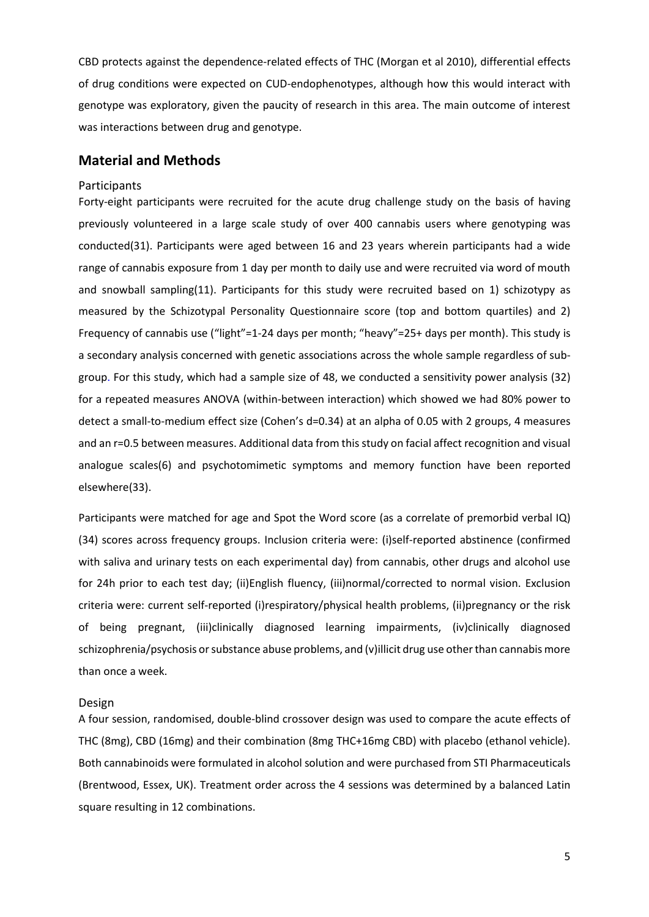CBD protects against the dependence-related effects of THC (Morgan et al 2010), differential effects of drug conditions were expected on CUD-endophenotypes, although how this would interact with genotype was exploratory, given the paucity of research in this area. The main outcome of interest was interactions between drug and genotype.

# **Material and Methods**

#### **Participants**

Forty-eight participants were recruited for the acute drug challenge study on the basis of having previously volunteered in a large scale study of over 400 cannabis users where genotyping was conducted(31). Participants were aged between 16 and 23 years wherein participants had a wide range of cannabis exposure from 1 day per month to daily use and were recruited via word of mouth and snowball sampling(11). Participants for this study were recruited based on 1) schizotypy as measured by the Schizotypal Personality Questionnaire score (top and bottom quartiles) and 2) Frequency of cannabis use ("light"=1-24 days per month; "heavy"=25+ days per month). This study is a secondary analysis concerned with genetic associations across the whole sample regardless of subgroup. For this study, which had a sample size of 48, we conducted a sensitivity power analysis (32) for a repeated measures ANOVA (within-between interaction) which showed we had 80% power to detect a small-to-medium effect size (Cohen's d=0.34) at an alpha of 0.05 with 2 groups, 4 measures and an r=0.5 between measures. Additional data from this study on facial affect recognition and visual analogue scales(6) and psychotomimetic symptoms and memory function have been reported elsewhere(33).

Participants were matched for age and Spot the Word score (as a correlate of premorbid verbal IQ) (34) scores across frequency groups. Inclusion criteria were: (i)self-reported abstinence (confirmed with saliva and urinary tests on each experimental day) from cannabis, other drugs and alcohol use for 24h prior to each test day; (ii)English fluency, (iii)normal/corrected to normal vision. Exclusion criteria were: current self-reported (i)respiratory/physical health problems, (ii)pregnancy or the risk of being pregnant, (iii)clinically diagnosed learning impairments, (iv)clinically diagnosed schizophrenia/psychosis or substance abuse problems, and (v)illicit drug use other than cannabis more than once a week.

#### Design

A four session, randomised, double-blind crossover design was used to compare the acute effects of THC (8mg), CBD (16mg) and their combination (8mg THC+16mg CBD) with placebo (ethanol vehicle). Both cannabinoids were formulated in alcohol solution and were purchased from STI Pharmaceuticals (Brentwood, Essex, UK). Treatment order across the 4 sessions was determined by a balanced Latin square resulting in 12 combinations.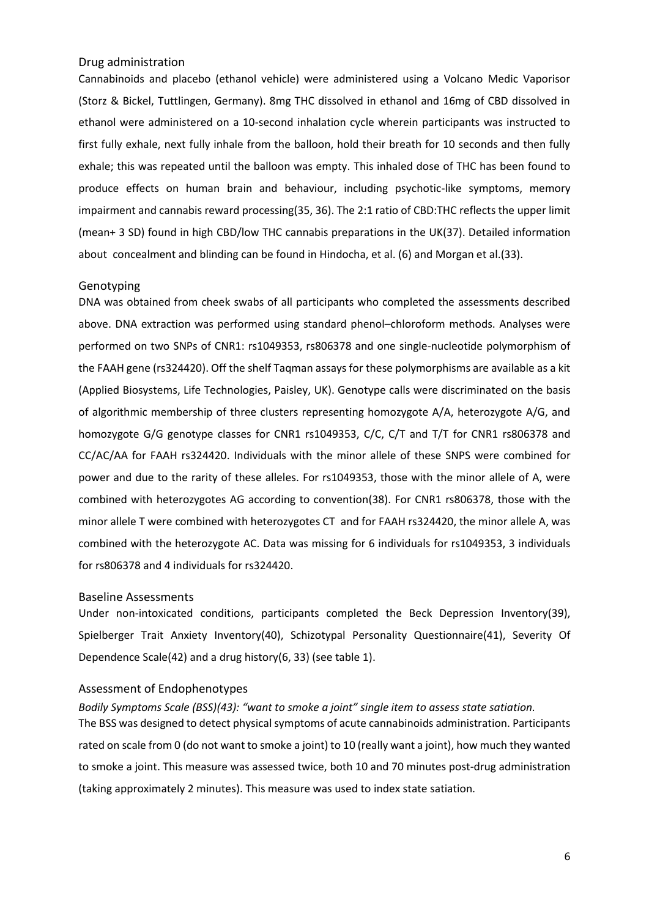#### Drug administration

Cannabinoids and placebo (ethanol vehicle) were administered using a Volcano Medic Vaporisor (Storz & Bickel, Tuttlingen, Germany). 8mg THC dissolved in ethanol and 16mg of CBD dissolved in ethanol were administered on a 10-second inhalation cycle wherein participants was instructed to first fully exhale, next fully inhale from the balloon, hold their breath for 10 seconds and then fully exhale; this was repeated until the balloon was empty. This inhaled dose of THC has been found to produce effects on human brain and behaviour, including psychotic-like symptoms, memory impairment and cannabis reward processing(35, 36). The 2:1 ratio of CBD:THC reflects the upper limit (mean+ 3 SD) found in high CBD/low THC cannabis preparations in the UK(37). Detailed information about concealment and blinding can be found in Hindocha, et al. (6) and Morgan et al.(33).

#### Genotyping

DNA was obtained from cheek swabs of all participants who completed the assessments described above. DNA extraction was performed using standard phenol–chloroform methods. Analyses were performed on two SNPs of CNR1: rs1049353, rs806378 and one single-nucleotide polymorphism of the FAAH gene (rs324420). Off the shelf Taqman assays for these polymorphisms are available as a kit (Applied Biosystems, Life Technologies, Paisley, UK). Genotype calls were discriminated on the basis of algorithmic membership of three clusters representing homozygote A/A, heterozygote A/G, and homozygote G/G genotype classes for CNR1 rs1049353, C/C, C/T and T/T for CNR1 rs806378 and CC/AC/AA for FAAH rs324420. Individuals with the minor allele of these SNPS were combined for power and due to the rarity of these alleles. For rs1049353, those with the minor allele of A, were combined with heterozygotes AG according to convention(38). For CNR1 rs806378, those with the minor allele T were combined with heterozygotes CT and for FAAH rs324420, the minor allele A, was combined with the heterozygote AC. Data was missing for 6 individuals for rs1049353, 3 individuals for rs806378 and 4 individuals for rs324420.

#### Baseline Assessments

Under non-intoxicated conditions, participants completed the Beck Depression Inventory(39), Spielberger Trait Anxiety Inventory(40), Schizotypal Personality Questionnaire(41), Severity Of Dependence Scale(42) and a drug history(6, 33) (see table 1).

## Assessment of Endophenotypes

*Bodily Symptoms Scale (BSS)(43): "want to smoke a joint" single item to assess state satiation.*  The BSS was designed to detect physical symptoms of acute cannabinoids administration. Participants rated on scale from 0 (do not want to smoke a joint) to 10 (really want a joint), how much they wanted to smoke a joint. This measure was assessed twice, both 10 and 70 minutes post-drug administration (taking approximately 2 minutes). This measure was used to index state satiation.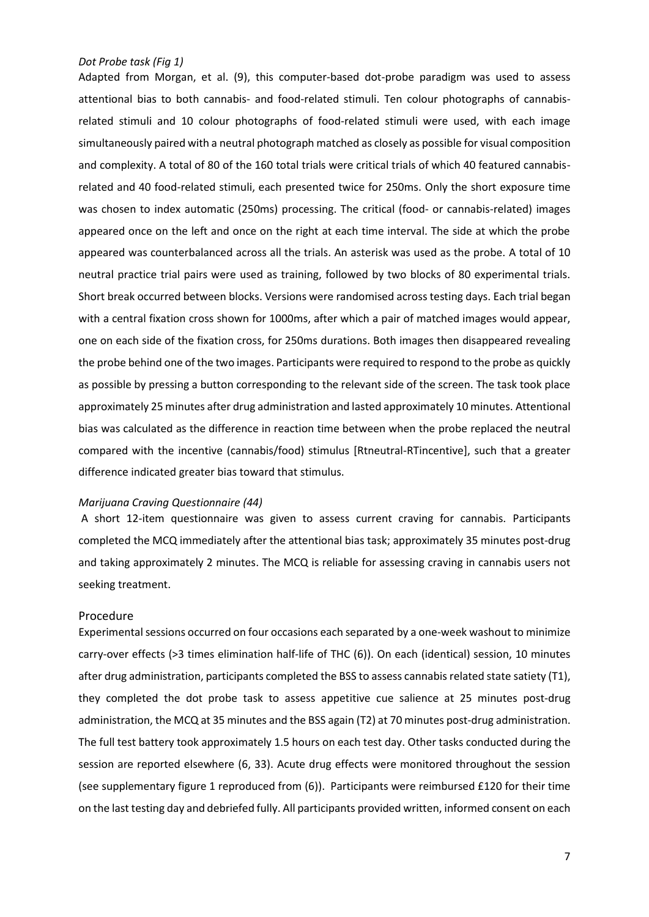#### *Dot Probe task (Fig 1)*

Adapted from Morgan, et al. (9), this computer-based dot-probe paradigm was used to assess attentional bias to both cannabis- and food-related stimuli. Ten colour photographs of cannabisrelated stimuli and 10 colour photographs of food-related stimuli were used, with each image simultaneously paired with a neutral photograph matched as closely as possible for visual composition and complexity. A total of 80 of the 160 total trials were critical trials of which 40 featured cannabisrelated and 40 food-related stimuli, each presented twice for 250ms. Only the short exposure time was chosen to index automatic (250ms) processing. The critical (food- or cannabis-related) images appeared once on the left and once on the right at each time interval. The side at which the probe appeared was counterbalanced across all the trials. An asterisk was used as the probe. A total of 10 neutral practice trial pairs were used as training, followed by two blocks of 80 experimental trials. Short break occurred between blocks. Versions were randomised across testing days. Each trial began with a central fixation cross shown for 1000ms, after which a pair of matched images would appear, one on each side of the fixation cross, for 250ms durations. Both images then disappeared revealing the probe behind one of the two images. Participants were required to respond to the probe as quickly as possible by pressing a button corresponding to the relevant side of the screen. The task took place approximately 25 minutes after drug administration and lasted approximately 10 minutes. Attentional bias was calculated as the difference in reaction time between when the probe replaced the neutral compared with the incentive (cannabis/food) stimulus [Rtneutral-RTincentive], such that a greater difference indicated greater bias toward that stimulus.

#### *Marijuana Craving Questionnaire (44)*

A short 12-item questionnaire was given to assess current craving for cannabis. Participants completed the MCQ immediately after the attentional bias task; approximately 35 minutes post-drug and taking approximately 2 minutes. The MCQ is reliable for assessing craving in cannabis users not seeking treatment.

#### Procedure

Experimental sessions occurred on four occasions each separated by a one-week washout to minimize carry-over effects (>3 times elimination half-life of THC (6)). On each (identical) session, 10 minutes after drug administration, participants completed the BSS to assess cannabis related state satiety (T1), they completed the dot probe task to assess appetitive cue salience at 25 minutes post-drug administration, the MCQ at 35 minutes and the BSS again (T2) at 70 minutes post-drug administration. The full test battery took approximately 1.5 hours on each test day. Other tasks conducted during the session are reported elsewhere (6, 33). Acute drug effects were monitored throughout the session (see supplementary figure 1 reproduced from (6)). Participants were reimbursed £120 for their time on the last testing day and debriefed fully. All participants provided written, informed consent on each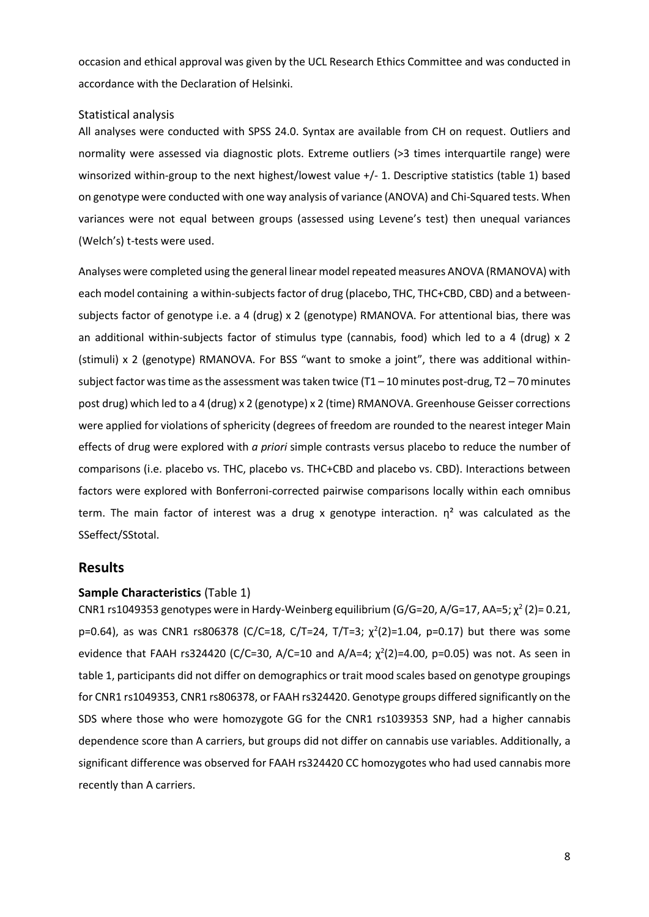occasion and ethical approval was given by the UCL Research Ethics Committee and was conducted in accordance with the Declaration of Helsinki.

## Statistical analysis

All analyses were conducted with SPSS 24.0. Syntax are available from CH on request. Outliers and normality were assessed via diagnostic plots. Extreme outliers (>3 times interquartile range) were winsorized within-group to the next highest/lowest value +/- 1. Descriptive statistics (table 1) based on genotype were conducted with one way analysis of variance (ANOVA) and Chi-Squared tests. When variances were not equal between groups (assessed using Levene's test) then unequal variances (Welch's) t-tests were used.

Analyses were completed using the general linear model repeated measures ANOVA (RMANOVA) with each model containing a within-subjects factor of drug (placebo, THC, THC+CBD, CBD) and a betweensubjects factor of genotype i.e. a 4 (drug) x 2 (genotype) RMANOVA. For attentional bias, there was an additional within-subjects factor of stimulus type (cannabis, food) which led to a 4 (drug) x 2 (stimuli) x 2 (genotype) RMANOVA. For BSS "want to smoke a joint", there was additional withinsubject factor was time as the assessment was taken twice  $(T1 - 10$  minutes post-drug,  $T2 - 70$  minutes post drug) which led to a 4 (drug) x 2 (genotype) x 2 (time) RMANOVA. Greenhouse Geisser corrections were applied for violations of sphericity (degrees of freedom are rounded to the nearest integer Main effects of drug were explored with *a priori* simple contrasts versus placebo to reduce the number of comparisons (i.e. placebo vs. THC, placebo vs. THC+CBD and placebo vs. CBD). Interactions between factors were explored with Bonferroni-corrected pairwise comparisons locally within each omnibus term. The main factor of interest was a drug x genotype interaction.  $\eta^2$  was calculated as the SSeffect/SStotal.

# **Results**

## **Sample Characteristics** (Table 1)

CNR1 rs1049353 genotypes were in Hardy-Weinberg equilibrium (G/G=20, A/G=17, AA=5;  $\chi^2$  (2)= 0.21, p=0.64), as was CNR1 rs806378 (C/C=18, C/T=24, T/T=3;  $\chi^2(2)$ =1.04, p=0.17) but there was some evidence that FAAH rs324420 (C/C=30, A/C=10 and A/A=4;  $\chi^2(2)$ =4.00, p=0.05) was not. As seen in table 1, participants did not differ on demographics or trait mood scales based on genotype groupings for CNR1 rs1049353, CNR1 rs806378, or FAAH rs324420. Genotype groups differed significantly on the SDS where those who were homozygote GG for the CNR1 rs1039353 SNP, had a higher cannabis dependence score than A carriers, but groups did not differ on cannabis use variables. Additionally, a significant difference was observed for FAAH rs324420 CC homozygotes who had used cannabis more recently than A carriers.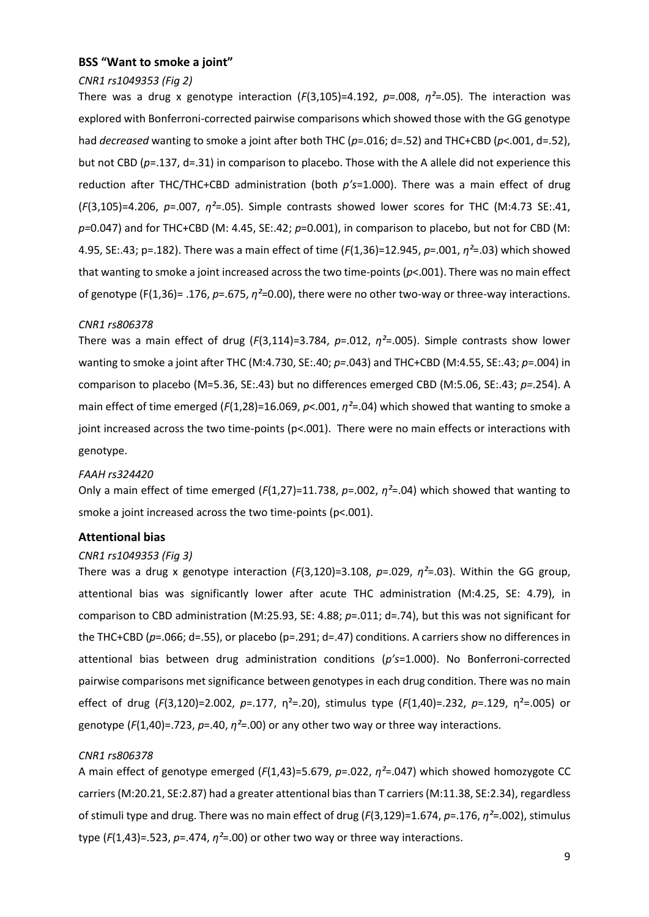#### **BSS "Want to smoke a joint"**

#### *CNR1 rs1049353 (Fig 2)*

There was a drug x genotype interaction (*F*(3,105)=4.192, *p*=.008, *η²*=.05). The interaction was explored with Bonferroni-corrected pairwise comparisons which showed those with the GG genotype had *decreased* wanting to smoke a joint after both THC (*p*=.016; d=.52) and THC+CBD (*p*<.001, d=.52), but not CBD (*p*=.137, d=.31) in comparison to placebo. Those with the A allele did not experience this reduction after THC/THC+CBD administration (both *p's*=1.000). There was a main effect of drug (*F*(3,105)=4.206, *p*=.007, *η²*=.05). Simple contrasts showed lower scores for THC (M:4.73 SE:.41, *p=*0.047) and for THC+CBD (M: 4.45, SE:.42; *p*=0.001), in comparison to placebo, but not for CBD (M: 4.95, SE:.43; p=.182). There was a main effect of time (*F*(1,36)=12.945, *p*=.001, *η²*=.03) which showed that wanting to smoke a joint increased across the two time-points (*p*<.001). There was no main effect of genotype (F(1,36)= .176, *p*=.675, *η²*=0.00), there were no other two-way or three-way interactions.

#### *CNR1 rs806378*

There was a main effect of drug (*F*(3,114)=3.784, *p*=.012, *η²*=.005). Simple contrasts show lower wanting to smoke a joint after THC (M:4.730, SE:.40; *p=*.043) and THC+CBD (M:4.55, SE:.43; *p*=.004) in comparison to placebo (M=5.36, SE:.43) but no differences emerged CBD (M:5.06, SE:.43; *p=*.254). A main effect of time emerged (*F*(1,28)=16.069, *p*<.001, *η²*=.04) which showed that wanting to smoke a joint increased across the two time-points (p<.001). There were no main effects or interactions with genotype.

#### *FAAH rs324420*

Only a main effect of time emerged (*F*(1,27)=11.738, *p*=.002, *η²*=.04) which showed that wanting to smoke a joint increased across the two time-points (p<.001).

#### **Attentional bias**

#### *CNR1 rs1049353 (Fig 3)*

There was a drug x genotype interaction (*F*(3,120)=3.108, *p*=.029, *η²*=.03). Within the GG group, attentional bias was significantly lower after acute THC administration (M:4.25, SE: 4.79), in comparison to CBD administration (M:25.93, SE: 4.88; *p*=.011; d=.74), but this was not significant for the THC+CBD ( $p=.066$ ; d=.55), or placebo ( $p=.291$ ; d=.47) conditions. A carriers show no differences in attentional bias between drug administration conditions (*p's*=1.000). No Bonferroni-corrected pairwise comparisons met significance between genotypes in each drug condition. There was no main effect of drug (*F*(3,120)=2.002, *p*=.177, η²=.20), stimulus type (*F*(1,40)=.232, *p*=.129, η²=.005) or genotype (*F*(1,40)=.723, *p*=.40, *η²*=.00) or any other two way or three way interactions.

#### *CNR1 rs806378*

A main effect of genotype emerged (*F*(1,43)=5.679, *p*=.022, *η²*=.047) which showed homozygote CC carriers (M:20.21, SE:2.87) had a greater attentional bias than T carriers (M:11.38, SE:2.34), regardless of stimuli type and drug. There was no main effect of drug (*F*(3,129)=1.674, *p*=.176, *η²*=.002), stimulus type  $(F(1,43)=0.523, p=.474, \eta^2=.00)$  or other two way or three way interactions.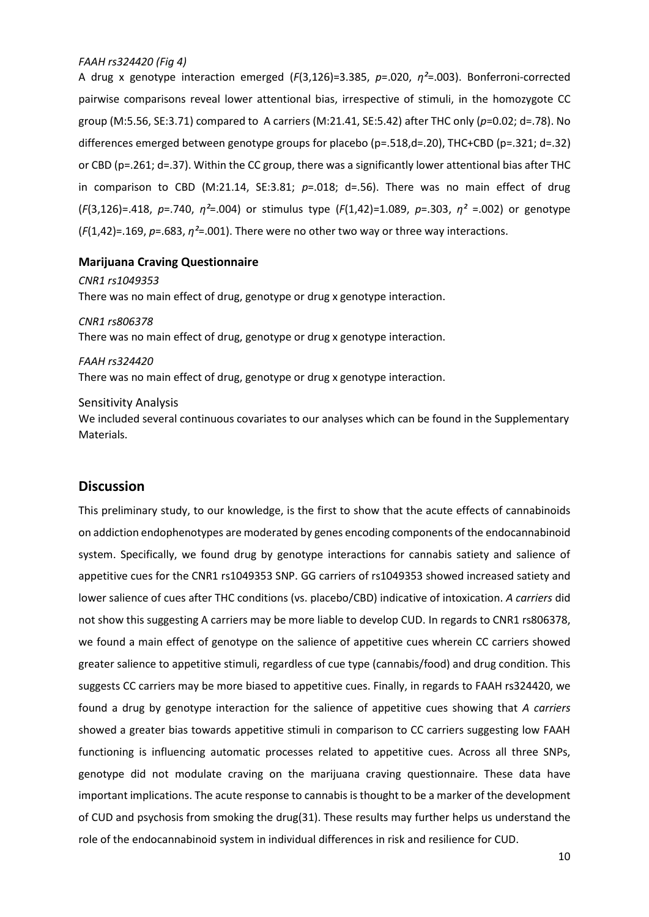## *FAAH rs324420 (Fig 4)*

A drug x genotype interaction emerged (*F*(3,126)=3.385, *p*=.020, *η²*=.003). Bonferroni-corrected pairwise comparisons reveal lower attentional bias, irrespective of stimuli, in the homozygote CC group (M:5.56, SE:3.71) compared to A carriers (M:21.41, SE:5.42) after THC only (*p*=0.02; d=.78). No differences emerged between genotype groups for placebo (p=.518,d=.20), THC+CBD (p=.321; d=.32) or CBD (p=.261; d=.37). Within the CC group, there was a significantly lower attentional bias after THC in comparison to CBD (M:21.14, SE:3.81; *p*=.018; d=.56). There was no main effect of drug (*F*(3,126)=.418, *p*=.740, *η²*=.004) or stimulus type (*F*(1,42)=1.089, *p*=.303, *η²* =.002) or genotype (*F*(1,42)=.169, *p*=.683, *η²*=.001). There were no other two way or three way interactions.

## **Marijuana Craving Questionnaire**

*CNR1 rs1049353* There was no main effect of drug, genotype or drug x genotype interaction.

*CNR1 rs806378* There was no main effect of drug, genotype or drug x genotype interaction.

*FAAH rs324420* There was no main effect of drug, genotype or drug x genotype interaction.

#### Sensitivity Analysis

We included several continuous covariates to our analyses which can be found in the Supplementary Materials.

# **Discussion**

This preliminary study, to our knowledge, is the first to show that the acute effects of cannabinoids on addiction endophenotypes are moderated by genes encoding components of the endocannabinoid system. Specifically, we found drug by genotype interactions for cannabis satiety and salience of appetitive cues for the CNR1 rs1049353 SNP. GG carriers of rs1049353 showed increased satiety and lower salience of cues after THC conditions (vs. placebo/CBD) indicative of intoxication. *A carriers* did not show this suggesting A carriers may be more liable to develop CUD. In regards to CNR1 rs806378, we found a main effect of genotype on the salience of appetitive cues wherein CC carriers showed greater salience to appetitive stimuli, regardless of cue type (cannabis/food) and drug condition. This suggests CC carriers may be more biased to appetitive cues. Finally, in regards to FAAH rs324420, we found a drug by genotype interaction for the salience of appetitive cues showing that *A carriers* showed a greater bias towards appetitive stimuli in comparison to CC carriers suggesting low FAAH functioning is influencing automatic processes related to appetitive cues. Across all three SNPs, genotype did not modulate craving on the marijuana craving questionnaire. These data have important implications. The acute response to cannabis is thought to be a marker of the development of CUD and psychosis from smoking the drug(31). These results may further helps us understand the role of the endocannabinoid system in individual differences in risk and resilience for CUD.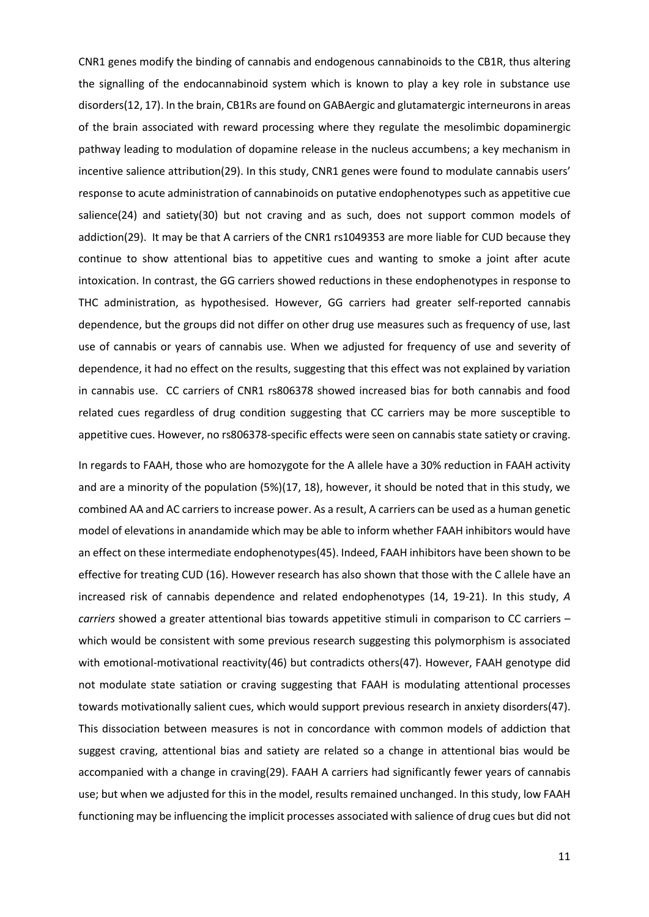CNR1 genes modify the binding of cannabis and endogenous cannabinoids to the CB1R, thus altering the signalling of the endocannabinoid system which is known to play a key role in substance use disorders(12, 17). In the brain, CB1Rs are found on GABAergic and glutamatergic interneurons in areas of the brain associated with reward processing where they regulate the mesolimbic dopaminergic pathway leading to modulation of dopamine release in the nucleus accumbens; a key mechanism in incentive salience attribution(29). In this study, CNR1 genes were found to modulate cannabis users' response to acute administration of cannabinoids on putative endophenotypes such as appetitive cue salience(24) and satiety(30) but not craving and as such, does not support common models of addiction(29). It may be that A carriers of the CNR1 rs1049353 are more liable for CUD because they continue to show attentional bias to appetitive cues and wanting to smoke a joint after acute intoxication. In contrast, the GG carriers showed reductions in these endophenotypes in response to THC administration, as hypothesised. However, GG carriers had greater self-reported cannabis dependence, but the groups did not differ on other drug use measures such as frequency of use, last use of cannabis or years of cannabis use. When we adjusted for frequency of use and severity of dependence, it had no effect on the results, suggesting that this effect was not explained by variation in cannabis use. CC carriers of CNR1 rs806378 showed increased bias for both cannabis and food related cues regardless of drug condition suggesting that CC carriers may be more susceptible to appetitive cues. However, no rs806378-specific effects were seen on cannabis state satiety or craving.

In regards to FAAH, those who are homozygote for the A allele have a 30% reduction in FAAH activity and are a minority of the population (5%)(17, 18), however, it should be noted that in this study, we combined AA and AC carriers to increase power. As a result, A carriers can be used as a human genetic model of elevations in anandamide which may be able to inform whether FAAH inhibitors would have an effect on these intermediate endophenotypes(45). Indeed, FAAH inhibitors have been shown to be effective for treating CUD (16). However research has also shown that those with the C allele have an increased risk of cannabis dependence and related endophenotypes (14, 19-21). In this study, *A carriers* showed a greater attentional bias towards appetitive stimuli in comparison to CC carriers – which would be consistent with some previous research suggesting this polymorphism is associated with emotional-motivational reactivity(46) but contradicts others(47). However, FAAH genotype did not modulate state satiation or craving suggesting that FAAH is modulating attentional processes towards motivationally salient cues, which would support previous research in anxiety disorders(47). This dissociation between measures is not in concordance with common models of addiction that suggest craving, attentional bias and satiety are related so a change in attentional bias would be accompanied with a change in craving(29). FAAH A carriers had significantly fewer years of cannabis use; but when we adjusted for this in the model, results remained unchanged. In this study, low FAAH functioning may be influencing the implicit processes associated with salience of drug cues but did not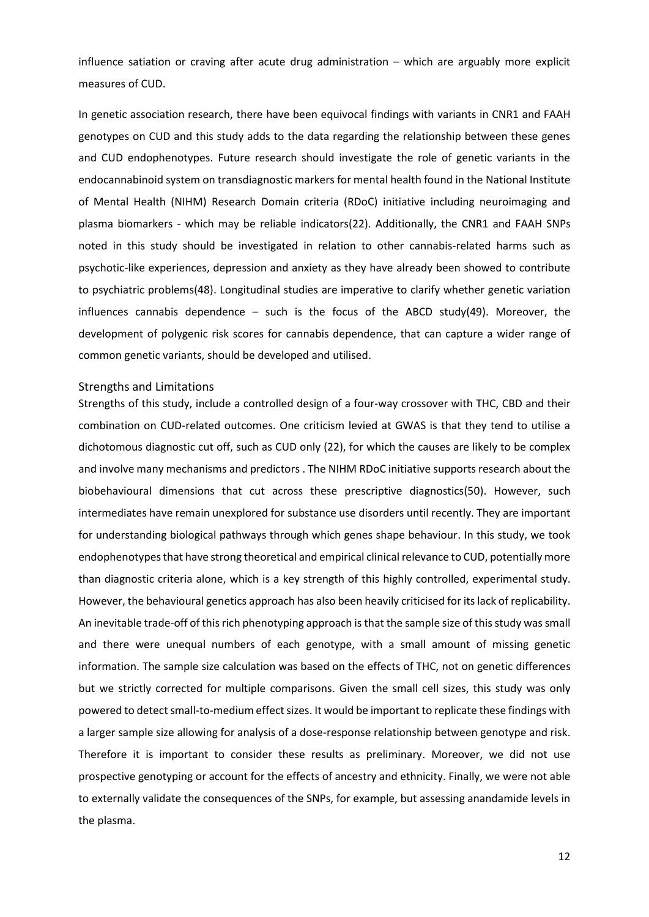influence satiation or craving after acute drug administration – which are arguably more explicit measures of CUD.

In genetic association research, there have been equivocal findings with variants in CNR1 and FAAH genotypes on CUD and this study adds to the data regarding the relationship between these genes and CUD endophenotypes. Future research should investigate the role of genetic variants in the endocannabinoid system on transdiagnostic markers for mental health found in the National Institute of Mental Health (NIHM) Research Domain criteria (RDoC) initiative including neuroimaging and plasma biomarkers - which may be reliable indicators(22). Additionally, the CNR1 and FAAH SNPs noted in this study should be investigated in relation to other cannabis-related harms such as psychotic-like experiences, depression and anxiety as they have already been showed to contribute to psychiatric problems(48). Longitudinal studies are imperative to clarify whether genetic variation influences cannabis dependence – such is the focus of the ABCD study(49). Moreover, the development of polygenic risk scores for cannabis dependence, that can capture a wider range of common genetic variants, should be developed and utilised.

#### Strengths and Limitations

Strengths of this study, include a controlled design of a four-way crossover with THC, CBD and their combination on CUD-related outcomes. One criticism levied at GWAS is that they tend to utilise a dichotomous diagnostic cut off, such as CUD only (22), for which the causes are likely to be complex and involve many mechanisms and predictors . The NIHM RDoC initiative supports research about the biobehavioural dimensions that cut across these prescriptive diagnostics(50). However, such intermediates have remain unexplored for substance use disorders until recently. They are important for understanding biological pathways through which genes shape behaviour. In this study, we took endophenotypes that have strong theoretical and empirical clinical relevance to CUD, potentially more than diagnostic criteria alone, which is a key strength of this highly controlled, experimental study. However, the behavioural genetics approach has also been heavily criticised for its lack of replicability. An inevitable trade-off of this rich phenotyping approach is that the sample size of this study wassmall and there were unequal numbers of each genotype, with a small amount of missing genetic information. The sample size calculation was based on the effects of THC, not on genetic differences but we strictly corrected for multiple comparisons. Given the small cell sizes, this study was only powered to detect small-to-medium effect sizes. It would be important to replicate these findings with a larger sample size allowing for analysis of a dose-response relationship between genotype and risk. Therefore it is important to consider these results as preliminary. Moreover, we did not use prospective genotyping or account for the effects of ancestry and ethnicity. Finally, we were not able to externally validate the consequences of the SNPs, for example, but assessing anandamide levels in the plasma.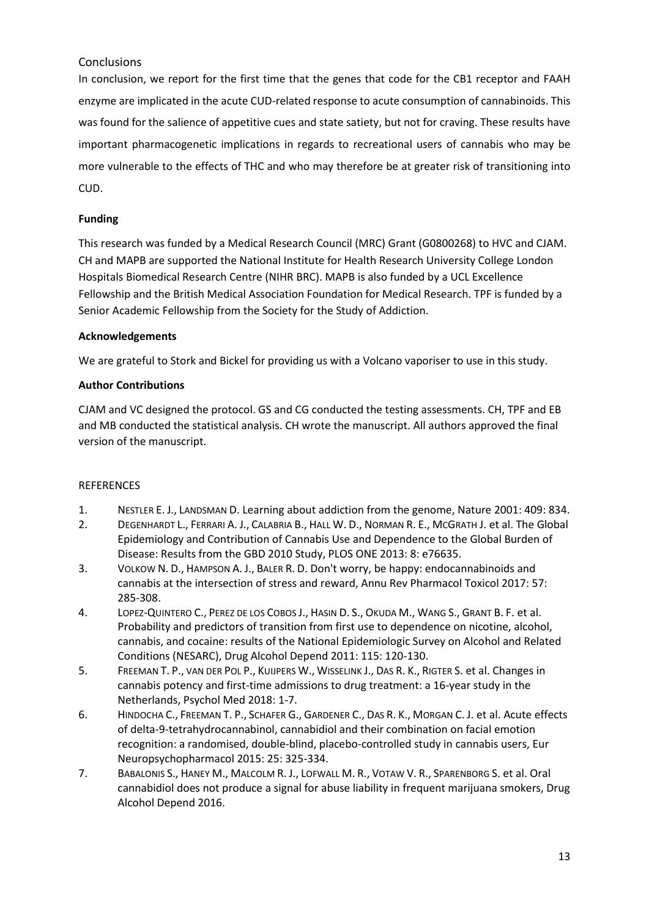# **Conclusions**

In conclusion, we report for the first time that the genes that code for the CB1 receptor and FAAH enzyme are implicated in the acute CUD-related response to acute consumption of cannabinoids. This was found for the salience of appetitive cues and state satiety, but not for craving. These results have important pharmacogenetic implications in regards to recreational users of cannabis who may be more vulnerable to the effects of THC and who may therefore be at greater risk of transitioning into CUD.

# **Funding**

This research was funded by a Medical Research Council (MRC) Grant (G0800268) to HVC and CJAM. CH and MAPB are supported the National Institute for Health Research University College London Hospitals Biomedical Research Centre (NIHR BRC). MAPB is also funded by a UCL Excellence Fellowship and the British Medical Association Foundation for Medical Research. TPF is funded by a Senior Academic Fellowship from the Society for the Study of Addiction.

# **Acknowledgements**

We are grateful to Stork and Bickel for providing us with a Volcano vaporiser to use in this study.

# **Author Contributions**

CJAM and VC designed the protocol. GS and CG conducted the testing assessments. CH, TPF and EB and MB conducted the statistical analysis. CH wrote the manuscript. All authors approved the final version of the manuscript.

# **REFERENCES**

- 1. NESTLER E. J., LANDSMAN D. Learning about addiction from the genome, Nature 2001: 409: 834.
- 2. DEGENHARDT L., FERRARI A. J., CALABRIA B., HALL W. D., NORMAN R. E., MCGRATH J. et al. The Global Epidemiology and Contribution of Cannabis Use and Dependence to the Global Burden of Disease: Results from the GBD 2010 Study, PLOS ONE 2013: 8: e76635.
- 3. VOLKOW N. D., HAMPSON A. J., BALER R. D. Don't worry, be happy: endocannabinoids and cannabis at the intersection of stress and reward, Annu Rev Pharmacol Toxicol 2017: 57: 285-308.
- 4. LOPEZ-QUINTERO C., PEREZ DE LOS COBOS J., HASIN D. S., OKUDA M., WANG S., GRANT B. F. et al. Probability and predictors of transition from first use to dependence on nicotine, alcohol, cannabis, and cocaine: results of the National Epidemiologic Survey on Alcohol and Related Conditions (NESARC), Drug Alcohol Depend 2011: 115: 120-130.
- 5. FREEMAN T. P., VAN DER POL P., KUIJPERS W., WISSELINK J., DAS R. K., RIGTER S. et al. Changes in cannabis potency and first-time admissions to drug treatment: a 16-year study in the Netherlands, Psychol Med 2018: 1-7.
- 6. HINDOCHA C., FREEMAN T. P., SCHAFER G., GARDENER C., DAS R. K., MORGAN C. J. et al. Acute effects of delta-9-tetrahydrocannabinol, cannabidiol and their combination on facial emotion recognition: a randomised, double-blind, placebo-controlled study in cannabis users, Eur Neuropsychopharmacol 2015: 25: 325-334.
- 7. BABALONIS S., HANEY M., MALCOLM R. J., LOFWALL M. R., VOTAW V. R., SPARENBORG S. et al. Oral cannabidiol does not produce a signal for abuse liability in frequent marijuana smokers, Drug Alcohol Depend 2016.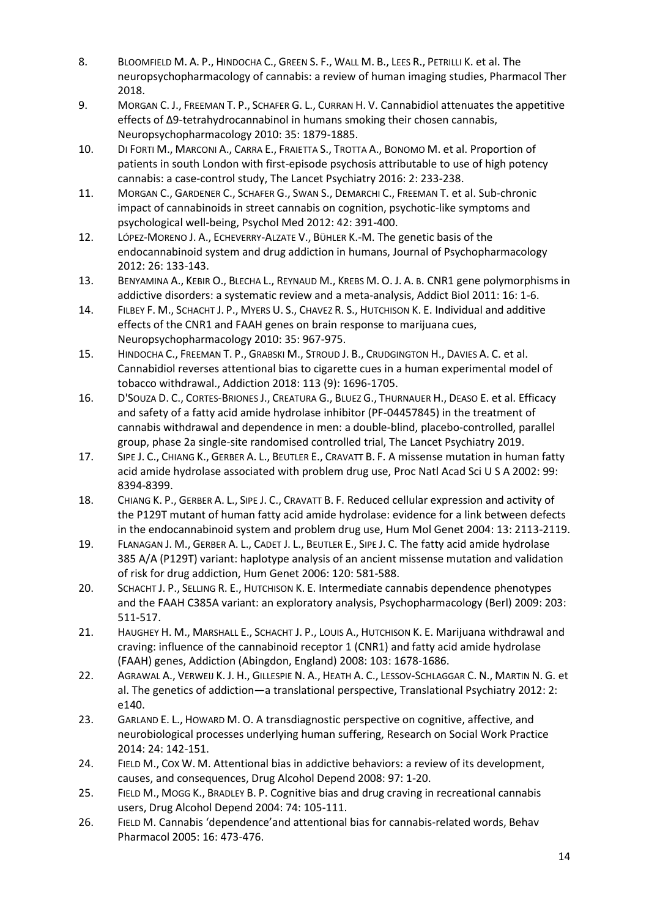- 8. BLOOMFIELD M. A. P., HINDOCHA C., GREEN S. F., WALL M. B., LEES R., PETRILLI K. et al. The neuropsychopharmacology of cannabis: a review of human imaging studies, Pharmacol Ther 2018.
- 9. MORGAN C. J., FREEMAN T. P., SCHAFER G. L., CURRAN H. V. Cannabidiol attenuates the appetitive effects of Δ9-tetrahydrocannabinol in humans smoking their chosen cannabis, Neuropsychopharmacology 2010: 35: 1879-1885.
- 10. DI FORTI M., MARCONI A., CARRA E., FRAIETTA S., TROTTA A., BONOMO M. et al. Proportion of patients in south London with first-episode psychosis attributable to use of high potency cannabis: a case-control study, The Lancet Psychiatry 2016: 2: 233-238.
- 11. MORGAN C., GARDENER C., SCHAFER G., SWAN S., DEMARCHI C., FREEMAN T. et al. Sub-chronic impact of cannabinoids in street cannabis on cognition, psychotic-like symptoms and psychological well-being, Psychol Med 2012: 42: 391-400.
- 12. LÓPEZ-MORENO J. A., ECHEVERRY-ALZATE V., BÜHLER K.-M. The genetic basis of the endocannabinoid system and drug addiction in humans, Journal of Psychopharmacology 2012: 26: 133-143.
- 13. BENYAMINA A., KEBIR O., BLECHA L., REYNAUD M., KREBS M. O. J. A. B. CNR1 gene polymorphisms in addictive disorders: a systematic review and a meta‐analysis, Addict Biol 2011: 16: 1-6.
- 14. FILBEY F. M., SCHACHT J. P., MYERS U. S., CHAVEZ R. S., HUTCHISON K. E. Individual and additive effects of the CNR1 and FAAH genes on brain response to marijuana cues, Neuropsychopharmacology 2010: 35: 967-975.
- 15. HINDOCHA C., FREEMAN T. P., GRABSKI M., STROUD J. B., CRUDGINGTON H., DAVIES A. C. et al. Cannabidiol reverses attentional bias to cigarette cues in a human experimental model of tobacco withdrawal., Addiction 2018: 113 (9): 1696-1705.
- 16. D'SOUZA D. C., CORTES-BRIONES J., CREATURA G., BLUEZ G., THURNAUER H., DEASO E. et al. Efficacy and safety of a fatty acid amide hydrolase inhibitor (PF-04457845) in the treatment of cannabis withdrawal and dependence in men: a double-blind, placebo-controlled, parallel group, phase 2a single-site randomised controlled trial, The Lancet Psychiatry 2019.
- 17. SIPE J. C., CHIANG K., GERBER A. L., BEUTLER E., CRAVATT B. F. A missense mutation in human fatty acid amide hydrolase associated with problem drug use, Proc Natl Acad Sci U S A 2002: 99: 8394-8399.
- 18. CHIANG K. P., GERBER A. L., SIPE J. C., CRAVATT B. F. Reduced cellular expression and activity of the P129T mutant of human fatty acid amide hydrolase: evidence for a link between defects in the endocannabinoid system and problem drug use, Hum Mol Genet 2004: 13: 2113-2119.
- 19. FLANAGAN J. M., GERBER A. L., CADET J. L., BEUTLER E., SIPE J. C. The fatty acid amide hydrolase 385 A/A (P129T) variant: haplotype analysis of an ancient missense mutation and validation of risk for drug addiction, Hum Genet 2006: 120: 581-588.
- 20. SCHACHT J. P., SELLING R. E., HUTCHISON K. E. Intermediate cannabis dependence phenotypes and the FAAH C385A variant: an exploratory analysis, Psychopharmacology (Berl) 2009: 203: 511-517.
- 21. HAUGHEY H. M., MARSHALL E., SCHACHT J. P., LOUIS A., HUTCHISON K. E. Marijuana withdrawal and craving: influence of the cannabinoid receptor 1 (CNR1) and fatty acid amide hydrolase (FAAH) genes, Addiction (Abingdon, England) 2008: 103: 1678-1686.
- 22. AGRAWAL A., VERWEIJ K. J. H., GILLESPIE N. A., HEATH A. C., LESSOV-SCHLAGGAR C. N., MARTIN N. G. et al. The genetics of addiction—a translational perspective, Translational Psychiatry 2012: 2: e140.
- 23. GARLAND E. L., HOWARD M. O. A transdiagnostic perspective on cognitive, affective, and neurobiological processes underlying human suffering, Research on Social Work Practice 2014: 24: 142-151.
- 24. FIELD M., COX W. M. Attentional bias in addictive behaviors: a review of its development, causes, and consequences, Drug Alcohol Depend 2008: 97: 1-20.
- 25. FIELD M., MOGG K., BRADLEY B. P. Cognitive bias and drug craving in recreational cannabis users, Drug Alcohol Depend 2004: 74: 105-111.
- 26. FIELD M. Cannabis 'dependence'and attentional bias for cannabis-related words, Behav Pharmacol 2005: 16: 473-476.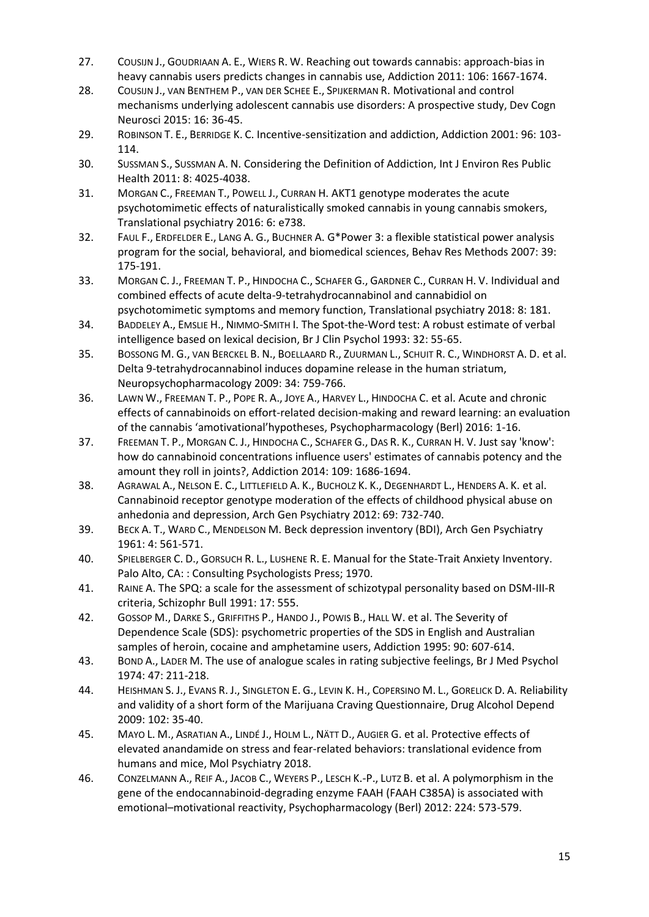- 27. COUSIJN J., GOUDRIAAN A. E., WIERS R. W. Reaching out towards cannabis: approach-bias in heavy cannabis users predicts changes in cannabis use, Addiction 2011: 106: 1667-1674.
- 28. COUSIJN J., VAN BENTHEM P., VAN DER SCHEE E., SPIJKERMAN R. Motivational and control mechanisms underlying adolescent cannabis use disorders: A prospective study, Dev Cogn Neurosci 2015: 16: 36-45.
- 29. ROBINSON T. E., BERRIDGE K. C. Incentive‐sensitization and addiction, Addiction 2001: 96: 103- 114.
- 30. SUSSMAN S., SUSSMAN A. N. Considering the Definition of Addiction, Int J Environ Res Public Health 2011: 8: 4025-4038.
- 31. MORGAN C., FREEMAN T., POWELL J., CURRAN H. AKT1 genotype moderates the acute psychotomimetic effects of naturalistically smoked cannabis in young cannabis smokers, Translational psychiatry 2016: 6: e738.
- 32. FAUL F., ERDFELDER E., LANG A. G., BUCHNER A. G\*Power 3: a flexible statistical power analysis program for the social, behavioral, and biomedical sciences, Behav Res Methods 2007: 39: 175-191.
- 33. MORGAN C. J., FREEMAN T. P., HINDOCHA C., SCHAFER G., GARDNER C., CURRAN H. V. Individual and combined effects of acute delta-9-tetrahydrocannabinol and cannabidiol on psychotomimetic symptoms and memory function, Translational psychiatry 2018: 8: 181.
- 34. BADDELEY A., EMSLIE H., NIMMO-SMITH I. The Spot-the-Word test: A robust estimate of verbal intelligence based on lexical decision, Br J Clin Psychol 1993: 32: 55-65.
- 35. BOSSONG M. G., VAN BERCKEL B. N., BOELLAARD R., ZUURMAN L., SCHUIT R. C., WINDHORST A. D. et al. Delta 9-tetrahydrocannabinol induces dopamine release in the human striatum, Neuropsychopharmacology 2009: 34: 759-766.
- 36. LAWN W., FREEMAN T. P., POPE R. A., JOYE A., HARVEY L., HINDOCHA C. et al. Acute and chronic effects of cannabinoids on effort-related decision-making and reward learning: an evaluation of the cannabis 'amotivational'hypotheses, Psychopharmacology (Berl) 2016: 1-16.
- 37. FREEMAN T. P., MORGAN C. J., HINDOCHA C., SCHAFER G., DAS R. K., CURRAN H. V. Just say 'know': how do cannabinoid concentrations influence users' estimates of cannabis potency and the amount they roll in joints?, Addiction 2014: 109: 1686-1694.
- 38. AGRAWAL A., NELSON E. C., LITTLEFIELD A. K., BUCHOLZ K. K., DEGENHARDT L., HENDERS A. K. et al. Cannabinoid receptor genotype moderation of the effects of childhood physical abuse on anhedonia and depression, Arch Gen Psychiatry 2012: 69: 732-740.
- 39. BECK A. T., WARD C., MENDELSON M. Beck depression inventory (BDI), Arch Gen Psychiatry 1961: 4: 561-571.
- 40. SPIELBERGER C. D., GORSUCH R. L., LUSHENE R. E. Manual for the State-Trait Anxiety Inventory. Palo Alto, CA: : Consulting Psychologists Press; 1970.
- 41. RAINE A. The SPQ: a scale for the assessment of schizotypal personality based on DSM-III-R criteria, Schizophr Bull 1991: 17: 555.
- 42. GOSSOP M., DARKE S., GRIFFITHS P., HANDO J., POWIS B., HALL W. et al. The Severity of Dependence Scale (SDS): psychometric properties of the SDS in English and Australian samples of heroin, cocaine and amphetamine users, Addiction 1995: 90: 607-614.
- 43. BOND A., LADER M. The use of analogue scales in rating subjective feelings, Br J Med Psychol 1974: 47: 211-218.
- 44. HEISHMAN S. J., EVANS R. J., SINGLETON E. G., LEVIN K. H., COPERSINO M. L., GORELICK D. A. Reliability and validity of a short form of the Marijuana Craving Questionnaire, Drug Alcohol Depend 2009: 102: 35-40.
- 45. MAYO L. M., ASRATIAN A., LINDÉ J., HOLM L., NÄTT D., AUGIER G. et al. Protective effects of elevated anandamide on stress and fear-related behaviors: translational evidence from humans and mice, Mol Psychiatry 2018.
- 46. CONZELMANN A., REIF A., JACOB C., WEYERS P., LESCH K.-P., LUTZ B. et al. A polymorphism in the gene of the endocannabinoid-degrading enzyme FAAH (FAAH C385A) is associated with emotional–motivational reactivity, Psychopharmacology (Berl) 2012: 224: 573-579.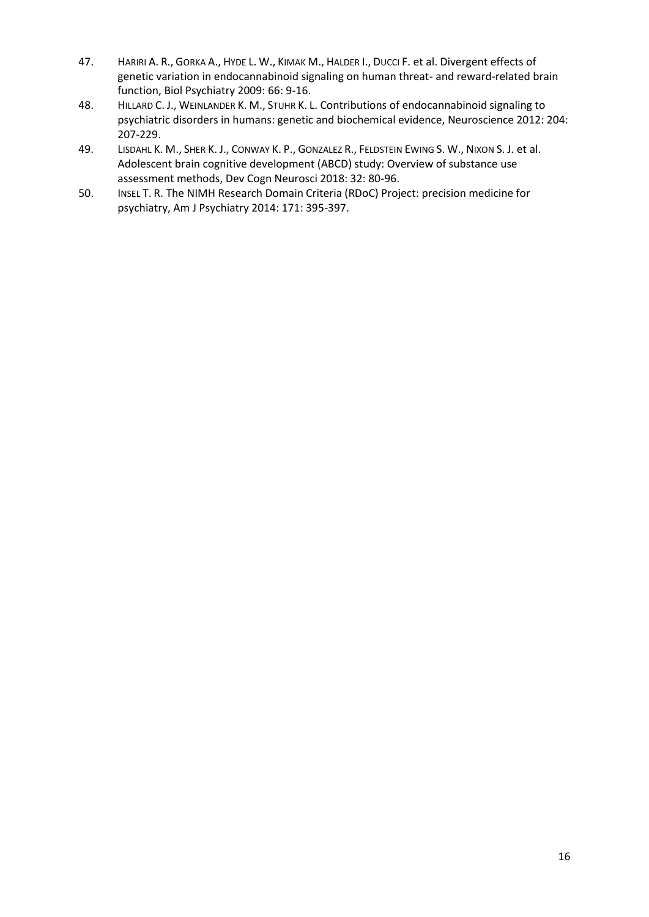- 47. HARIRI A. R., GORKA A., HYDE L. W., KIMAK M., HALDER I., DUCCI F. et al. Divergent effects of genetic variation in endocannabinoid signaling on human threat- and reward-related brain function, Biol Psychiatry 2009: 66: 9-16.
- 48. HILLARD C. J., WEINLANDER K. M., STUHR K. L. Contributions of endocannabinoid signaling to psychiatric disorders in humans: genetic and biochemical evidence, Neuroscience 2012: 204: 207-229.
- 49. LISDAHL K. M., SHER K. J., CONWAY K. P., GONZALEZ R., FELDSTEIN EWING S. W., NIXON S. J. et al. Adolescent brain cognitive development (ABCD) study: Overview of substance use assessment methods, Dev Cogn Neurosci 2018: 32: 80-96.
- 50. INSEL T. R. The NIMH Research Domain Criteria (RDoC) Project: precision medicine for psychiatry, Am J Psychiatry 2014: 171: 395-397.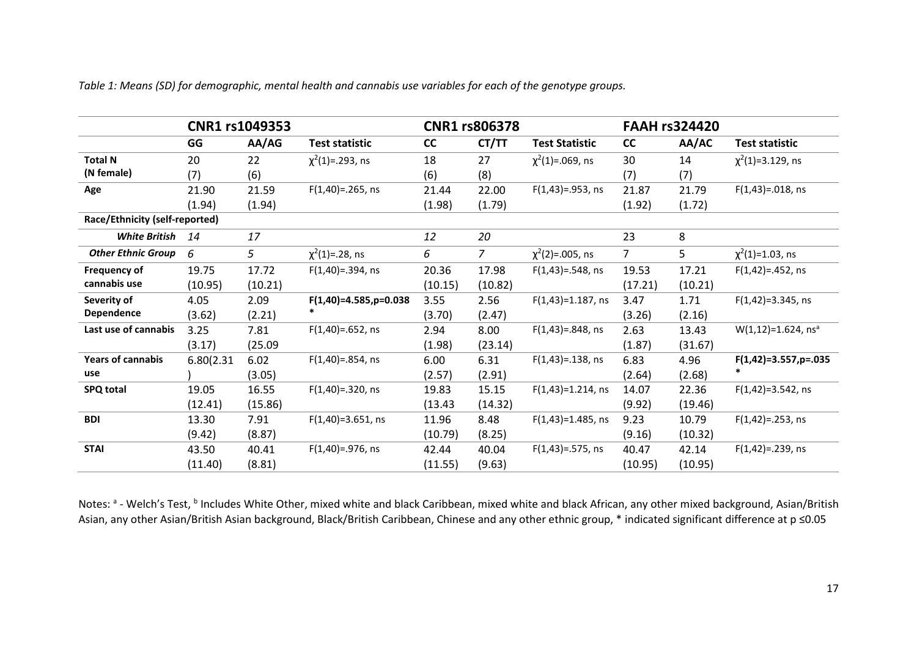|                                |            | CNR1 rs1049353 |                          | <b>CNR1 rs806378</b> |                |                         | <b>FAAH rs324420</b> |         |                                      |
|--------------------------------|------------|----------------|--------------------------|----------------------|----------------|-------------------------|----------------------|---------|--------------------------------------|
|                                | GG         | AA/AG          | <b>Test statistic</b>    | <b>CC</b>            | CT/TT          | <b>Test Statistic</b>   | cc                   | AA/AC   | <b>Test statistic</b>                |
| <b>Total N</b>                 | 20         | 22             | $\chi^2(1) = .293$ , ns  | 18                   | 27             | $\chi^2(1) = .069$ , ns | 30                   | 14      | $\chi^2(1)$ =3.129, ns               |
| (N female)                     | (7)        | (6)            |                          | (6)                  | (8)            |                         | (7)                  | (7)     |                                      |
| Age                            | 21.90      | 21.59          | $F(1,40) = .265$ , ns    | 21.44                | 22.00          | $F(1,43) = .953$ , ns   | 21.87                | 21.79   | $F(1,43) = .018$ , ns                |
|                                | (1.94)     | (1.94)         |                          | (1.98)               | (1.79)         |                         | (1.92)               | (1.72)  |                                      |
| Race/Ethnicity (self-reported) |            |                |                          |                      |                |                         |                      |         |                                      |
| <b>White British</b>           | 14         | 17             |                          | 12                   | 20             |                         | 23                   | 8       |                                      |
| <b>Other Ethnic Group</b>      | 6          | 5              | $\chi^2(1) = 28$ , ns    | 6                    | $\overline{7}$ | $\chi^2(2) = .005$ , ns | $\overline{7}$       | 5       | $\chi^2(1)$ =1.03, ns                |
| <b>Frequency of</b>            | 19.75      | 17.72          | $F(1,40) = .394$ , ns    | 20.36                | 17.98          | $F(1,43) = .548$ , ns   | 19.53                | 17.21   | $F(1,42) = .452$ , ns                |
| cannabis use                   | (10.95)    | (10.21)        |                          | (10.15)              | (10.82)        |                         | (17.21)              | (10.21) |                                      |
| Severity of                    | 4.05       | 2.09           | $F(1,40)=4.585, p=0.038$ | 3.55                 | 2.56           | $F(1,43)=1.187$ , ns    | 3.47                 | 1.71    | $F(1,42)=3.345$ , ns                 |
| Dependence                     | (3.62)     | (2.21)         |                          | (3.70)               | (2.47)         |                         | (3.26)               | (2.16)  |                                      |
| Last use of cannabis           | 3.25       | 7.81           | $F(1,40) = .652$ , ns    | 2.94                 | 8.00           | $F(1,43) = .848$ , ns   | 2.63                 | 13.43   | $W(1, 12) = 1.624$ , ns <sup>a</sup> |
|                                | (3.17)     | (25.09)        |                          | (1.98)               | (23.14)        |                         | (1.87)               | (31.67) |                                      |
| <b>Years of cannabis</b>       | 6.80(2.31) | 6.02           | $F(1,40) = .854$ , ns    | 6.00                 | 6.31           | $F(1,43) = .138$ , ns   | 6.83                 | 4.96    | $F(1,42)=3.557, p=.035$              |
| use                            |            | (3.05)         |                          | (2.57)               | (2.91)         |                         | (2.64)               | (2.68)  | $\ast$                               |
| <b>SPQ total</b>               | 19.05      | 16.55          | $F(1,40) = .320$ , ns    | 19.83                | 15.15          | $F(1,43)=1.214$ , ns    | 14.07                | 22.36   | $F(1,42)=3.542, ns$                  |
|                                | (12.41)    | (15.86)        |                          | (13.43)              | (14.32)        |                         | (9.92)               | (19.46) |                                      |
| <b>BDI</b>                     | 13.30      | 7.91           | $F(1,40)=3.651$ , ns     | 11.96                | 8.48           | $F(1,43)=1.485,$ ns     | 9.23                 | 10.79   | $F(1,42) = .253$ , ns                |
|                                | (9.42)     | (8.87)         |                          | (10.79)              | (8.25)         |                         | (9.16)               | (10.32) |                                      |
| <b>STAI</b>                    | 43.50      | 40.41          | $F(1,40) = .976$ , ns    | 42.44                | 40.04          | $F(1,43) = .575$ , ns   | 40.47                | 42.14   | $F(1,42) = .239$ , ns                |
|                                | (11.40)    | (8.81)         |                          | (11.55)              | (9.63)         |                         | (10.95)              | (10.95) |                                      |

*Table 1: Means (SD) for demographic, mental health and cannabis use variables for each of the genotype groups.* 

Notes: <sup>a</sup> - Welch's Test, <sup>b</sup> Includes White Other, mixed white and black Caribbean, mixed white and black African, any other mixed background, Asian/British Asian, any other Asian/British Asian background, Black/British Caribbean, Chinese and any other ethnic group, \* indicated significant difference at p ≤0.05